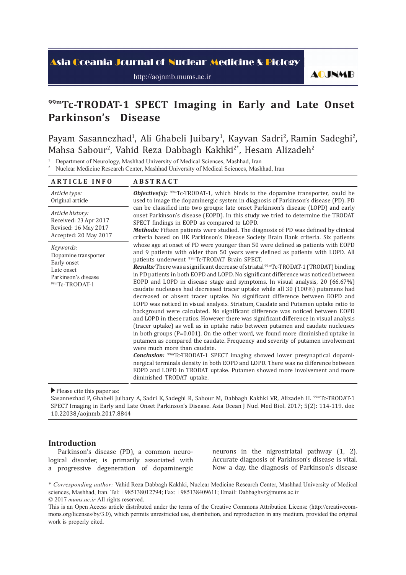# <mark>Asia Oceania Journal of Nuclear Medicine & Biology</mark>

http://aojnmb.mums.ac.ir

**AOJNMB** 

# **99mTc-TRODAT-1 SPECT Imaging in Early and Late Onset Parkinson's Disease**

Payam Sasannezhad<sup>1</sup>, Ali Ghabeli Juibary<sup>1</sup>, Kayvan Sadri<sup>2</sup>, Ramin Sadeghi<sup>2</sup>, Mahsa Sabour<sup>2</sup>, Vahid Reza Dabbagh Kakhki<sup>2\*</sup>, Hesam Alizadeh<sup>2</sup>

<sup>1</sup> Department of Neurology, Mashhad University of Medical Sciences, Mashhad, Iran

<sup>2</sup> Nuclear Medicine Research Center, Mashhad University of Medical Sciences, Mashhad, Iran

| <b>ARTICLE INFO</b>                                                                                     | <b>ABSTRACT</b>                                                                                                                                                                                                                                                                                                                                                                                                                                                                                                                                                                                                                                                                                                                                                                                                                                                                                                                                                                                                                                                                                                                                                                                                                                                                                                                                                                                                                                                                                                                                     |  |  |  |  |  |  |
|---------------------------------------------------------------------------------------------------------|-----------------------------------------------------------------------------------------------------------------------------------------------------------------------------------------------------------------------------------------------------------------------------------------------------------------------------------------------------------------------------------------------------------------------------------------------------------------------------------------------------------------------------------------------------------------------------------------------------------------------------------------------------------------------------------------------------------------------------------------------------------------------------------------------------------------------------------------------------------------------------------------------------------------------------------------------------------------------------------------------------------------------------------------------------------------------------------------------------------------------------------------------------------------------------------------------------------------------------------------------------------------------------------------------------------------------------------------------------------------------------------------------------------------------------------------------------------------------------------------------------------------------------------------------------|--|--|--|--|--|--|
| Article type:<br>Original article                                                                       | <b><i>Objective(s):</i></b> $\frac{99m}{2}$ Tc-TRODAT-1, which binds to the dopamine transporter, could be<br>used to image the dopaminergic system in diagnosis of Parkinson's disease (PD). PD                                                                                                                                                                                                                                                                                                                                                                                                                                                                                                                                                                                                                                                                                                                                                                                                                                                                                                                                                                                                                                                                                                                                                                                                                                                                                                                                                    |  |  |  |  |  |  |
| Article history:<br>Received: 23 Apr 2017<br>Revised: 16 May 2017<br>Accepted: 20 May 2017              | can be classified into two groups: late onset Parkinson's disease (LOPD) and early<br>onset Parkinson's disease (EOPD). In this study we tried to determine the TRODAT<br>SPECT findings in EOPD as compared to LOPD.<br>Methods: Fifteen patients were studied. The diagnosis of PD was defined by clinical<br>criteria based on UK Parkinson's Disease Society Brain Bank criteria. Six patients                                                                                                                                                                                                                                                                                                                                                                                                                                                                                                                                                                                                                                                                                                                                                                                                                                                                                                                                                                                                                                                                                                                                                  |  |  |  |  |  |  |
| Keywords:<br>Dopamine transporter<br>Early onset<br>Late onset<br>Parkinson's disease<br>99mTc-TRODAT-1 | whose age at onset of PD were younger than 50 were defined as patients with EOPD<br>and 9 patients with older than 50 years were defined as patients with LOPD. All<br>patients underwent <sup>99m</sup> Tc-TRODAT Brain SPECT.<br><b>Results:</b> There was a significant decrease of striatal <sup>99m</sup> Tc-TRODAT-1 (TRODAT) binding<br>in PD patients in both EOPD and LOPD. No significant difference was noticed between<br>EOPD and LOPD in disease stage and symptoms. In visual analysis, 20 (66.67%)<br>caudate nucleuses had decreased tracer uptake while all 30 (100%) putamens had<br>decreased or absent tracer uptake. No significant difference between EOPD and<br>LOPD was noticed in visual analysis. Striatum, Caudate and Putamen uptake ratio to<br>background were calculated. No significant difference was noticed between EOPD<br>and LOPD in these ratios. However there was significant difference in visual analysis<br>(tracer uptake) as well as in uptake ratio between putamen and caudate nucleuses<br>in both groups ( $P=0.001$ ). On the other word, we found more diminished uptake in<br>putamen as compared the caudate. Frequency and severity of putamen involvement<br>were much more than caudate.<br><b>Conclusion:</b> <sup>99m</sup> Tc-TRODAT-1 SPECT imaging showed lower presynaptical dopami-<br>nergical terminals density in both EOPD and LOPD. There was no difference between<br>EOPD and LOPD in TRODAT uptake. Putamen showed more involvement and more<br>diminished TRODAT uptake. |  |  |  |  |  |  |

Please cite this paper as:

Sasannezhad P, Ghabeli Juibary A, Sadri K, Sadeghi R, Sabour M, Dabbagh Kakhki VR, Alizadeh H. 99mTc-TRODAT-1 SPECT Imaging in Early and Late Onset Parkinson's Disease. Asia Ocean J Nucl Med Biol. 2017; 5(2): 114-119. doi: 10.22038/aojnmb.2017.8844

# **Introduction**

Parkinson's disease (PD), a common neurological disorder, is primarily associated with a progressive degeneration of dopaminergic neurons in the nigrostriatal pathway (1, 2). Accurate diagnosis of Parkinson's disease is vital. Now a day, the diagnosis of Parkinson's disease

<sup>\*</sup> *Corresponding author:* Vahid Reza Dabbagh Kakhki, Nuclear Medicine Research Center, Mashhad University of Medical sciences, Mashhad, Iran. Tel: +985138012794; Fax: +985138409611; Email: Dabbaghvr@mums.ac.ir © 2017 *mums.ac.ir* All rights reserved.

This is an Open Access article distributed under the terms of the Creative Commons Attribution License (http://creativecommons.org/licenses/by/3.0), which permits unrestricted use, distribution, and reproduction in any medium, provided the original work is properly cited.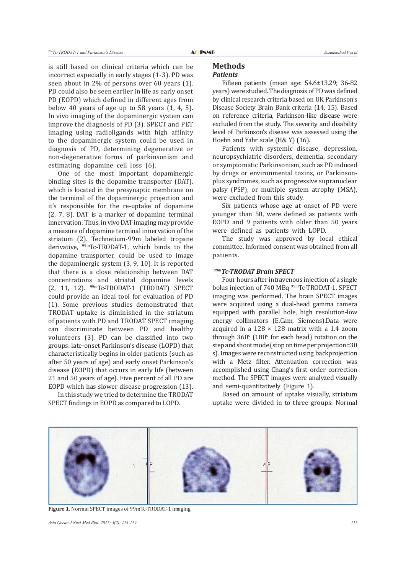is still based on clinical criteria which can be incorrect especially in early stages (1-3). PD was seen about in 2% of persons over 60 years (1). PD could also be seen earlier in life as early onset PD (EOPD) which defined in different ages from below 40 years of age up to 58 years (1, 4, 5). In vivo imaging of the dopaminergic system can improve the diagnosis of PD (3). SPECT and PET imaging using radioligands with high affinity to the dopaminergic system could be used in diagnosis of PD, determining degenerative or non-degenerative forms of parkinsonism and estimating dopamine cell loss (6).

One of the most important dopaminergic binding sites is the dopamine transporter (DAT), which is located in the presynaptic membrane on the terminal of the dopaminergic projection and it's responsible for the re-uptake of dopamine (2, 7, 8). DAT is a marker of dopamine terminal innervation. Thus, in vivo DAT imaging may provide a measure of dopamine terminal innervation of the striatum (2). Technetium-99m labeled tropane derivative, 99mTc-TRODAT-1, which binds to the dopamine transporter, could be used to image the dopaminergic system (3, 9, 10). It is reported that there is a close relationship between DAT concentrations and striatal dopamine levels (2, 11, 12). 99mTc-TRODAT-1 (TRODAT) SPECT could provide an ideal tool for evaluation of PD (1). Some previous studies demonstrated that TRODAT uptake is diminished in the striatum of patients with PD and TRODAT SPECT imaging can discriminate between PD and healthy volunteers (3). PD can be classified into two groups: late-onset Parkinson's disease (LOPD) that characteristically begins in older patients (such as after 50 years of age) and early onset Parkinson's disease (EOPD) that occurs in early life (between 21 and 50 years of age). Five percent of all PD are EOPD which has slower disease progression (13).

In this study we tried to determine the TRODAT SPECT findings in EOPD as compared to LOPD.

#### **Methods** *Patients*

Fifteen patients (mean age: 54.6±13.29; 36-82 years) were studied. The diagnosis of PD was defined by clinical research criteria based on UK Parkinson's Disease Society Brain Bank criteria (14, 15). Based on reference criteria, Parkinson-like disease were excluded from the study. The severity and disability level of Parkinson's disease was assessed using the Hoehn and Yahr scale (H& Y) (16).

Patients with systemic disease, depression, neuropsychiatric disorders, dementia, secondary or symptomatic Parkinsonism, such as PD induced by drugs or environmental toxins, or Parkinsonplus syndromes, such as progressive supranuclear palsy (PSP), or multiple system atrophy (MSA), were excluded from this study.

Six patients whose age at onset of PD were younger than 50, were defined as patients with EOPD and 9 patients with older than 50 years were defined as patients with LOPD.

The study was approved by local ethical committee. Informed consent was obtained from all patients.

# *99mTc-TRODAT Brain SPECT*

Four hours after intravenous injection of a single bolus injection of 740 MBq <sup>99m</sup>Tc-TRODAT-1, SPECT imaging was performed. The brain SPECT images were acquired using a dual-head gamma camera equipped with parallel hole, high resolution-low energy collimators (E.Cam, Siemens).Data were acquired in a  $128 \times 128$  matrix with a 1.4 zoom through 360° (180° for each head) rotation on the step and shoot mode (stop on time per projection=30 s). Images were reconstructed using backprojection with a Metz filter. Attenuation correction was accomplished using Chang's first order correction method. The SPECT images were analyzed visually and semi-quantitatively (Figure 1).

Based on amount of uptake visually, striatum uptake were divided in to three groups: Normal



**Figure 1.** Normal SPECT images of 99mTc-TRODAT-1 imaging

*Asia Ocean J Nucl Med Biol. 2017; 5(2): 114-119. 115*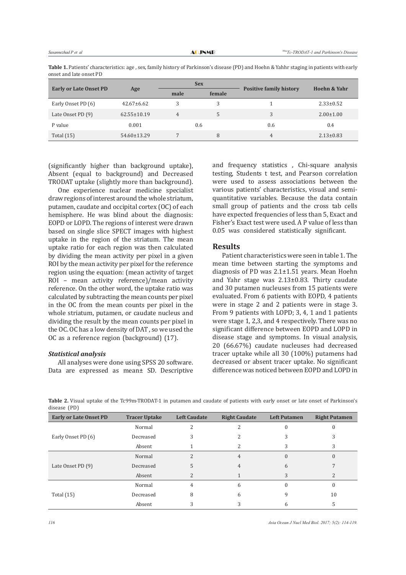|                         | Table 1. Patients' characteristics: age, sex, family history of Parkinson's disease (PD) and Hoehn & Yahhr staging in patients with early |  |  |  |  |  |
|-------------------------|-------------------------------------------------------------------------------------------------------------------------------------------|--|--|--|--|--|
| onset and late onset PD |                                                                                                                                           |  |  |  |  |  |

| <b>Early or Late Onset PD</b> | Age               |                | <b>Sex</b> |                                | Hoehn & Yahr    |
|-------------------------------|-------------------|----------------|------------|--------------------------------|-----------------|
|                               |                   | male           | female     | <b>Positive family history</b> |                 |
| Early Onset PD (6)            | $42.67 \pm 6.62$  | 3              | 3          |                                | $2.33 \pm 0.52$ |
| Late Onset PD (9)             | $62.55 \pm 10.19$ | $\overline{4}$ | 5          | 3                              | $2.00 \pm 1.00$ |
| P value                       | 0.001             |                | 0.6        | 0.6                            | 0.4             |
| Total $(15)$                  | $54.60 \pm 13.29$ |                | 8          | 4                              | $2.13 \pm 0.83$ |

(significantly higher than background uptake), Absent (equal to background) and Decreased TRODAT uptake (slightly more than background).

One experience nuclear medicine specialist draw regions of interest around the whole striatum, putamen, caudate and occipital cortex (OC) of each hemisphere. He was blind about the diagnosis: EOPD or LOPD. The regions of interest were drawn based on single slice SPECT images with highest uptake in the region of the striatum. The mean uptake ratio for each region was then calculated by dividing the mean activity per pixel in a given ROI by the mean activity per pixel for the reference region using the equation: (mean activity of target ROI – mean activity reference)/mean activity reference. On the other word, the uptake ratio was calculated by subtracting the mean counts per pixel in the OC from the mean counts per pixel in the whole striatum, putamen, or caudate nucleus and dividing the result by the mean counts per pixel in the OC. OC has a low density of DAT , so we used the OC as a reference region (background) (17).

#### *Statistical analysis*

All analyses were done using SPSS 20 software. Data are expressed as mean± SD. Descriptive and frequency statistics , Chi-square analysis testing, Students t test, and Pearson correlation were used to assess associations between the various patients' characteristics, visual and semiquantitative variables. Because the data contain small group of patients and the cross tab cells have expected frequencies of less than 5, Exact and Fisher's Exact test were used. A P value of less than 0.05 was considered statistically significant.

#### **Results**

Patient characteristics were seen in table 1. The mean time between starting the symptoms and diagnosis of PD was 2.1±1.51 years. Mean Hoehn and Yahr stage was 2.13±0.83. Thirty caudate and 30 putamen nucleuses from 15 patients were evaluated. From 6 patients with EOPD, 4 patients were in stage 2 and 2 patients were in stage 3. From 9 patients with LOPD; 3, 4, 1 and 1 patients were stage 1, 2,3, and 4 respectively. There was no significant difference between EOPD and LOPD in disease stage and symptoms. In visual analysis, 20 (66.67%) caudate nucleuses had decreased tracer uptake while all 30 (100%) putamens had decreased or absent tracer uptake. No significant difference was noticed between EOPD and LOPD in

**Table 2.** Visual uptake of the Tc99m-TRODAT-1 in putamen and caudate of patients with early onset or late onset of Parkinson's disease (PD)

| <b>Early or Late Onset PD</b> | <b>Tracer Uptake</b> | <b>Left Caudate</b>      | <b>Right Caudate</b> | <b>Left Putamen</b> | <b>Right Putamen</b> |
|-------------------------------|----------------------|--------------------------|----------------------|---------------------|----------------------|
| Early Onset PD (6)            | Normal               |                          |                      |                     |                      |
|                               | Decreased            |                          |                      |                     |                      |
|                               | Absent               |                          |                      | 3                   | 3                    |
| Late Onset PD (9)             | Normal               | 2                        | 4                    |                     | 0                    |
|                               | Decreased            |                          | 4                    | 6                   |                      |
|                               | Absent               | $\overline{\mathcal{L}}$ |                      | 3                   |                      |
| Total $(15)$                  | Normal               | 4                        | 6                    |                     |                      |
|                               | Decreased            | 8                        | h                    |                     | 10                   |
|                               | Absent               |                          |                      | h                   |                      |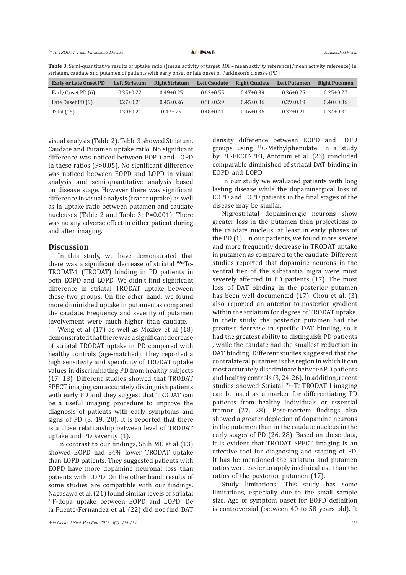| Table 3. Semi-quantitative results of uptake ratio ((mean activity of target ROI – mean activity reference)/mean activity reference) in |
|-----------------------------------------------------------------------------------------------------------------------------------------|
| striatum, caudate and putamen of patients with early onset or late onset of Parkinson's disease (PD)                                    |

| <b>Early or Late Onset PD</b> | <b>Left Striatum</b> | <b>Right Striatum</b> | <b>Left Caudate</b> | <b>Right Caudate</b> | <b>Left Putamen</b> | <b>Right Putamen</b> |
|-------------------------------|----------------------|-----------------------|---------------------|----------------------|---------------------|----------------------|
| Early Onset PD (6)            | $0.35 \pm 0.22$      | $0.49 \pm 0.25$       | $0.62 \pm 0.55$     | $0.47 + 0.39$        | $0.36 \pm 0.25$     | $0.25 \pm 0.27$      |
| Late Onset PD (9)             | $0.27 \pm 0.21$      | $0.45 \pm 0.26$       | $0.38 \pm 0.29$     | $0.45 \pm 0.36$      | $0.29 \pm 0.19$     | $0.40 \pm 0.36$      |
| Total $(15)$                  | $0.30 \pm 0.21$      | $0.47 \pm 0.25$       | $0.48 + 0.41$       | $0.46\pm0.36$        | $0.32 \pm 0.21$     | $0.34 \pm 0.31$      |

visual analysis (Table 2). Table 3 showed Striatum, Caudate and Putamen uptake ratio. No significant difference was noticed between EOPD and LOPD in these ratios (P>0.05). No significant difference was noticed between EOPD and LOPD in visual analysis and semi-quantitative analysis based on disease stage. However there was significant difference in visual analysis (tracer uptake) as well as in uptake ratio between putamen and caudate nucleuses (Table 2 and Table 3; P=0.001). There was no any adverse effect in either patient during and after imaging.

#### **Discussion**

In this study, we have demonstrated that there was a significant decrease of striatal <sup>99m</sup>Tc-TRODAT-1 (TRODAT) binding in PD patients in both EOPD and LOPD. We didn't find significant difference in striatal TRODAT uptake between these two groups. On the other hand, we found more diminished uptake in putamen as compared the caudate. Frequency and severity of putamen involvement were much higher than caudate.

Weng et al (17) as well as Mozlev et al (18) demonstrated that there was a significant decrease of striatal TRODAT uptake in PD compared with healthy controls (age-matched). They reported a high sensitivity and specificity of TRODAT uptake values in discriminating PD from healthy subjects (17, 18). Different studies showed that TRODAT SPECT imaging can accurately distinguish patients with early PD and they suggest that TRODAT can be a useful imaging procedure to improve the diagnosis of patients with early symptoms and signs of PD (3, 19, 20). It is reported that there is a close relationship between level of TRODAT uptake and PD severity (1).

In contrast to our findings, Shih MC et al (13) showed EOPD had 34% lower TRODAT uptake than LOPD patients. They suggested patients with EOPD have more dopamine neuronal loss than patients with LOPD. On the other hand, results of some studies are compatible with our findings. Nagasawa et al. (21) found similar levels of striatal <sup>18</sup>F-dopa uptake between EOPD and LOPD. De la Fuente-Fernandez et al. (22) did not find DAT

density difference between EOPD and LOPD groups using 11C-Methylphenidate. In a study by 11C-FECIT-PET, Antonini et al. (23) concluded comparable diminished of striatal DAT binding in EOPD and LOPD.

In our study we evaluated patients with long lasting disease while the dopaminergical loss of EOPD and LOPD patients in the final stages of the disease may be similar.

Nigrostriatal dopaminergic neurons show greater loss in the putamen than projections to the caudate nucleus, at least in early phases of the PD (1). In our patients, we found more severe and more frequently decrease in TRODAT uptake in putamen as compared to the caudate. Different studies reported that dopamine neurons in the ventral tier of the substantia nigra were most severely affected in PD patients (17). The most loss of DAT binding in the posterior putamen has been well documented (17). Chou et al. (3) also reported an anterior-to-posterior gradient within the striatum for degree of TRODAT uptake. In their study, the posterior putamen had the greatest decrease in specific DAT binding, so it had the greatest ability to distinguish PD patients , while the caudate had the smallest reduction in DAT binding. Different studies suggested that the contralateral putamen is the region in which it can most accurately discriminate between PD patients and healthy controls (3, 24-26). In addition, recent studies showed Striatal <sup>99m</sup>Tc-TRODAT-1 imaging can be used as a marker for differentiating PD patients from healthy individuals or essential tremor (27, 28). Post-mortem findings also showed a greater depletion of dopamine neurons in the putamen than in the caudate nucleus in the early stages of PD (26, 28). Based on these data, it is evident that TRODAT SPECT imaging is an effective tool for diagnosing and staging of PD. It has be mentioned the striatum and putamen ratios were easier to apply in clinical use than the ratios of the posterior putamen (17).

Study limitations: This study has some limitations, especially due to the small sample size. Age of symptom onset for EOPD definition is controversial (between 40 to 58 years old). It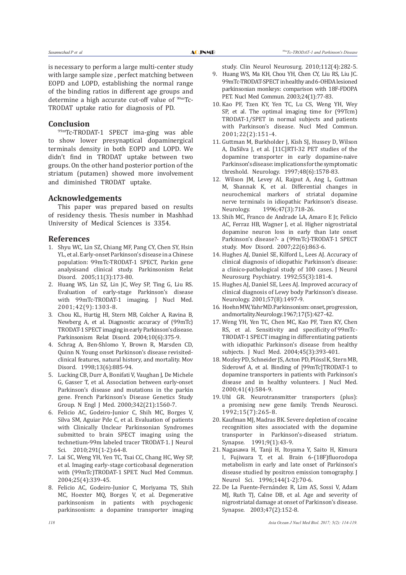is necessary to perform a large multi-center study with large sample size , perfect matching between EOPD and LOPD, establishing the normal range of the binding ratios in different age groups and determine a high accurate cut-off value of  $99mTc$ -TRODAT uptake ratio for diagnosis of PD.

# **Conclusion**

99mTc-TRODAT-1 SPECT ima-ging was able to show lower presynaptical dopaminergical terminals density in both EOPD and LOPD. We didn't find in TRODAT uptake between two groups. On the other hand posterior portion of the striatum (putamen) showed more involvement and diminished TRODAT uptake.

# **Acknowledgements**

This paper was prepared based on results of residency thesis. Thesis number in Mashhad University of Medical Sciences is 3354.

#### **References**

- 1. Shyu WC, Lin SZ, Chiang MF, Pang CY, Chen SY, Hsin YL, et al. Early-onset Parkinson's disease in a Chinese population: 99mTc-TRODAT-1 SPECT, Parkin gene analysisand clinical study. Parkinsonism Relat Disord. 2005;11(3):173-80.
- 2. Huang WS, Lin SZ, Lin JC, Wey SP, Ting G, Liu RS. Evaluation of early-stage Parkinson's disease with 99mTc-TRODAT-1 imaging. J Nucl Med. 2001;42(9):1303-8.
- 3. Chou KL, Hurtig HI, Stern MB, Colcher A, Ravina B, Newberg A, et al. Diagnostic accuracy of (99mTc) TRODAT-1 SPECT imaging in early Parkinson's disease. Parkinsonism Relat Disord. 2004;10(6):375-9.
- 4. Schrag A, Ben-Shlomo Y, Brown R, Marsden CD, Quinn N. Young onset Parkinson's disease revisitedclinical features, natural history, and mortality. Mov Disord. 1998;13(6):885-94.
- 5. Lucking CB, Durr A, Bonifati V, Vaughan J, De Michele G, Gasser T, et al. Association between early-onset Parkinson's disease and mutations in the parkin gene. French Parkinson's Disease Genetics Study Group. N Engl J Med. 2000;342(21):1560-7.
- 6. Felicio AC, Godeiro-Junior C, Shih MC, Borges V, Silva SM, Aguiar Pde C, et al. Evaluation of patients with Clinically Unclear Parkinsonian Syndromes submitted to brain SPECT imaging using the technetium-99m labeled tracer TRODAT-1. J Neurol Sci. 2010;291(1-2):64-8.
- 7. Lai SC, Weng YH, Yen TC, Tsai CC, Chang HC, Wey SP, et al. Imaging early-stage corticobasal degeneration with (99mTc)TRODAT-1 SPET. Nucl Med Commun. 2004;25(4):339-45.
- 8. Felicio AC, Godeiro-Junior C, Moriyama TS, Shih MC, Hoexter MQ, Borges V, et al. Degenerative parkinsonism in patients with psychogenic parkinsonism: a dopamine transporter imaging

study. Clin Neurol Neurosurg. 2010;112(4):282-5.

- 9. Huang WS, Ma KH, Chou YH, Chen CY, Liu RS, Liu JC. 99mTc-TRODAT-SPECT in healthy and 6-OHDA lesioned parkinsonian monkeys: comparison with 18F-FDOPA PET. Nucl Med Commun. 2003;24(1):77-83.
- 10. Kao PF, Tzen KY, Yen TC, Lu CS, Weng YH, Wey SP, et al. The optimal imaging time for (99Tcm) TRODAT-1/SPET in normal subjects and patients with Parkinson's disease. Nucl Med Commun. 2001;22(2):151-4.
- 11. Guttman M, Burkholder J, Kish SJ, Hussey D, Wilson A, DaSilva J, et al. [11C]RTI-32 PET studies of the dopamine transporter in early dopamine-naive Parkinson'sdisease: implicationsforthesymptomatic threshold. Neurology. 1997;48(6):1578-83.
- 12. Wilson JM, Levey AI, Rajput A, Ang L, Guttman M, Shannak K, et al. Differential changes in neurochemical markers of striatal dopamine nerve terminals in idiopathic Parkinson's disease.<br>Neurology. 1996;47(3):718-26. 1996;47(3):718-26.
- 13. Shih MC, Franco de Andrade LA, Amaro E Jr, Felicio AC, Ferraz HB, Wagner J, et al. Higher nigrostriatal dopamine neuron loss in early than late onset Parkinson's disease?- a (99mTc)-TRODAT-1 SPECT study. Mov Disord. 2007;22(6):863-6.
- 14. Hughes AJ, Daniel SE, Kilford L, Lees AJ. Accuracy of clinical diagnosis of idiopathic Parkinson's disease: a clinico-pathological study of 100 cases. J Neurol Neurosurg Psychiatry. 1992;55(3):181-4.
- 15. Hughes AJ, Daniel SE, Lees AJ. Improved accuracy of clinical diagnosis of Lewy body Parkinson's disease. Neurology. 2001;57(8):1497-9.
- 16. HoehnMW, YahrMD. Parkinsonism: onset, progression, andmortality. Neurology. 1967;17(5):427-42.
- 17. Weng YH, Yen TC, Chen MC, Kao PF, Tzen KY, Chen RS, et al. Sensitivity and specificity of 99mTc-TRODAT-1 SPECT imaging in differentiating patients with idiopathic Parkinson's disease from healthy subjects. J Nucl Med. 2004;45(3):393-401.
- 18. Mozley PD, Schneider JS,Acton PD, PlösslK, Stern MB, Siderowf A, et al. Binding of [99mTc]TRODAT-1 to dopamine transporters in patients with Parkinson's disease and in healthy volunteers. J Nucl Med. 2000;41(4):584-9.
- 19. Uhl GR. Neurotransmitter transporters (plus): a promising new gene family. Trends Neurosci. 1992;15(7):265-8.
- 20. Kaufman MJ, Madras BK. Severe depletion of cocaine recognition sites associated with the dopamine transporter in Parkinson's-diseased striatum. Synapse. 1991;9(1):43-9.
- 21. Nagasawa H, Tanji H, Itoyama Y, Saito H, Kimura I, Fujiwara T, et al. Brain 6-(18F)fluorodopa metabolism in early and late onset of Parkinson's disease studied by positron emission tomography. J Neurol Sci. 1996;144(1-2):70-6.
- 22. De La Fuente-Fernández R, Lim AS, Sossi V, Adam MJ, Ruth TJ, Calne DB, et al. Age and severity of nigrostriatal damage at onset of Parkinson's disease. Synapse. 2003;47(2):152-8.